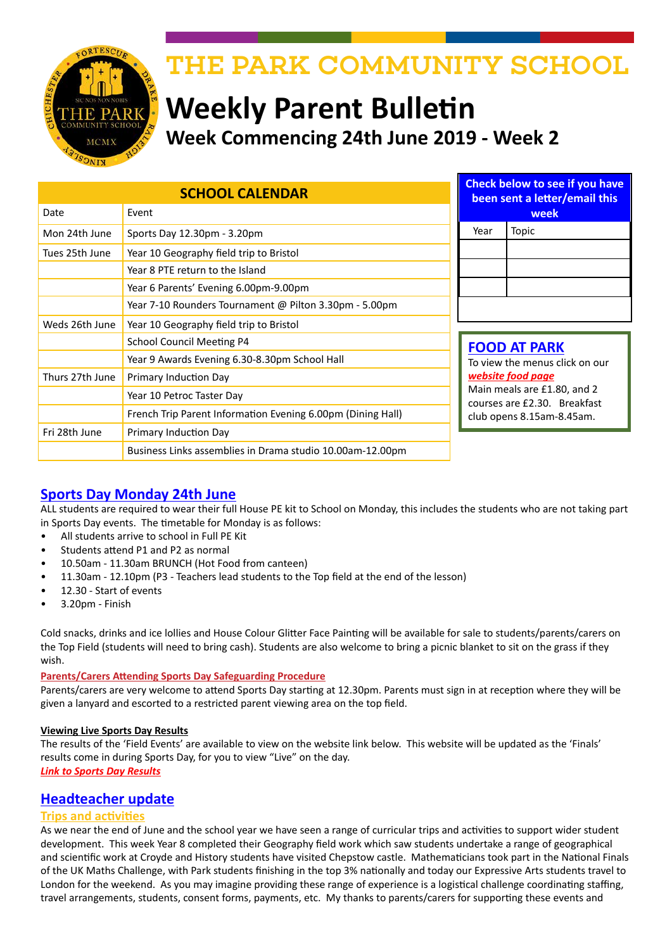

# THE PARK COMMUNITY SCHOOL

# **Weekly Parent Bulletin Week Commencing 24th June 2019 - Week 2**

| <b>SCHOOL CALENDAR</b> |                                                             | <b>Check below to see if you have</b><br>been sent a letter/email this |                                                                            |  |
|------------------------|-------------------------------------------------------------|------------------------------------------------------------------------|----------------------------------------------------------------------------|--|
| Date                   | Event                                                       | week                                                                   |                                                                            |  |
| Mon 24th June          | Sports Day 12.30pm - 3.20pm                                 | Year                                                                   | Topic                                                                      |  |
| Tues 25th June         | Year 10 Geography field trip to Bristol                     |                                                                        |                                                                            |  |
|                        | Year 8 PTE return to the Island                             |                                                                        |                                                                            |  |
|                        | Year 6 Parents' Evening 6.00pm-9.00pm                       |                                                                        |                                                                            |  |
|                        | Year 7-10 Rounders Tournament @ Pilton 3.30pm - 5.00pm      |                                                                        |                                                                            |  |
| Weds 26th June         | Year 10 Geography field trip to Bristol                     |                                                                        |                                                                            |  |
|                        | <b>School Council Meeting P4</b>                            |                                                                        | <b>FOOD AT PARK</b><br>To view the menus click on our<br>website food page |  |
|                        | Year 9 Awards Evening 6.30-8.30pm School Hall               |                                                                        |                                                                            |  |
| Thurs 27th June        | Primary Induction Day                                       |                                                                        |                                                                            |  |
|                        | Year 10 Petroc Taster Day                                   |                                                                        | Main meals are £1.80, and 2<br>courses are £2.30. Breakfast                |  |
|                        | French Trip Parent Information Evening 6.00pm (Dining Hall) |                                                                        | club opens 8.15am-8.45am.                                                  |  |
| Fri 28th June          | Primary Induction Day                                       |                                                                        |                                                                            |  |
|                        | Business Links assemblies in Drama studio 10.00am-12.00pm   |                                                                        |                                                                            |  |

# **Sports Day Monday 24th June**

ALL students are required to wear their full House PE kit to School on Monday, this includes the students who are not taking part in Sports Day events. The timetable for Monday is as follows:

- All students arrive to school in Full PE Kit
- Students attend P1 and P2 as normal
- 10.50am 11.30am BRUNCH (Hot Food from canteen)
- 11.30am 12.10pm (P3 Teachers lead students to the Top field at the end of the lesson)
- 12.30 Start of events
- 3.20pm Finish

Cold snacks, drinks and ice lollies and House Colour Glitter Face Painting will be available for sale to students/parents/carers on the Top Field (students will need to bring cash). Students are also welcome to bring a picnic blanket to sit on the grass if they wish.

#### **Parents/Carers Attending Sports Day Safeguarding Procedure**

Parents/carers are very welcome to attend Sports Day starting at 12.30pm. Parents must sign in at reception where they will be given a lanyard and escorted to a restricted parent viewing area on the top field.

#### **Viewing Live Sports Day Results**

The results of the 'Field Events' are available to view on the website link below. This website will be updated as the 'Finals' results come in during Sports Day, for you to view "Live" on the day. *[Link to Sports Day Results](http://sportsday.rawmaths.co.uk/)*

### **Headteacher update**

#### **Trips and activities**

As we near the end of June and the school year we have seen a range of curricular trips and activities to support wider student development. This week Year 8 completed their Geography field work which saw students undertake a range of geographical and scientific work at Croyde and History students have visited Chepstow castle. Mathematicians took part in the National Finals of the UK Maths Challenge, with Park students finishing in the top 3% nationally and today our Expressive Arts students travel to London for the weekend. As you may imagine providing these range of experience is a logistical challenge coordinating staffing, travel arrangements, students, consent forms, payments, etc. My thanks to parents/carers for supporting these events and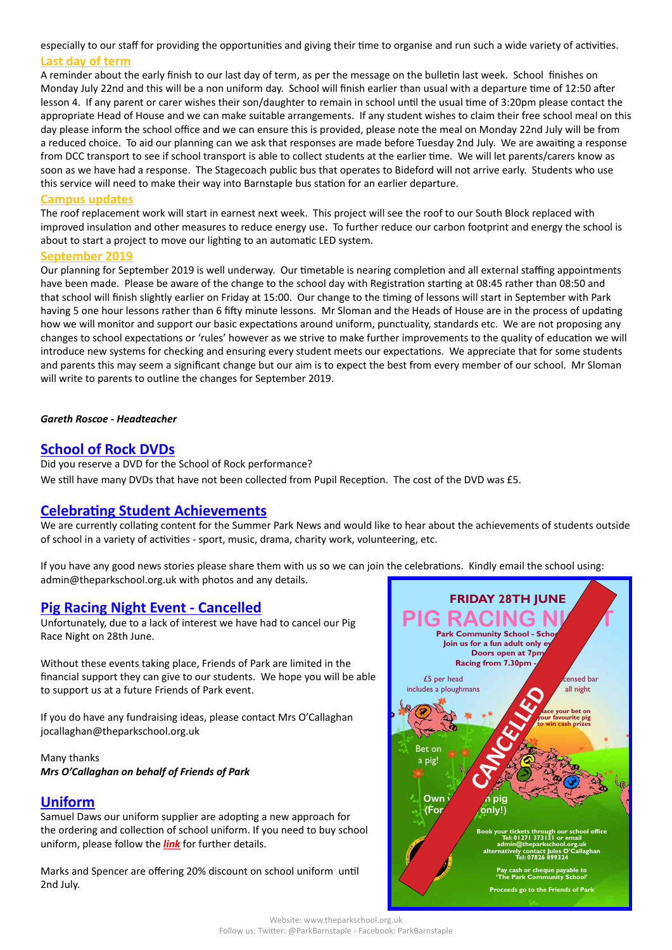especially to our staff for providing the opportunities and giving their time to organise and run such a wide variety of activities. **Last day of term**

A reminder about the early finish to our last day of term, as per the message on the bulletin last week. School finishes on Monday July 22nd and this will be a non uniform day. School will finish earlier than usual with a departure time of 12:50 after lesson 4. If any parent or carer wishes their son/daughter to remain in school until the usual time of 3:20pm please contact the appropriate Head of House and we can make suitable arrangements. If any student wishes to claim their free school meal on this day please inform the school office and we can ensure this is provided, please note the meal on Monday 22nd July will be from a reduced choice. To aid our planning can we ask that responses are made before Tuesday 2nd July. We are awaiting a response from DCC transport to see if school transport is able to collect students at the earlier time. We will let parents/carers know as soon as we have had a response. The Stagecoach public bus that operates to Bideford will not arrive early. Students who use this service will need to make their way into Barnstaple bus station for an earlier departure.

#### **Campus updates**

The roof replacement work will start in earnest next week. This project will see the roof to our South Block replaced with improved insulation and other measures to reduce energy use. To further reduce our carbon footprint and energy the school is about to start a project to move our lighting to an automatic LED system.

#### **September 2019**

Our planning for September 2019 is well underway. Our timetable is nearing completion and all external staffing appointments have been made. Please be aware of the change to the school day with Registration starting at 08:45 rather than 08:50 and that school will finish slightly earlier on Friday at 15:00. Our change to the timing of lessons will start in September with Park having 5 one hour lessons rather than 6 fifty minute lessons. Mr Sloman and the Heads of House are in the process of updating how we will monitor and support our basic expectations around uniform, punctuality, standards etc. We are not proposing any changes to school expectations or 'rules' however as we strive to make further improvements to the quality of education we will introduce new systems for checking and ensuring every student meets our expectations. We appreciate that for some students and parents this may seem a significant change but our aim is to expect the best from every member of our school. Mr Sloman will write to parents to outline the changes for September 2019.

#### *Gareth Roscoe - Headteacher*

## **School of Rock DVDs**

Did you reserve a DVD for the School of Rock performance? We still have many DVDs that have not been collected from Pupil Reception. The cost of the DVD was £5.

### **Celebrating Student Achievements**

We are currently collating content for the Summer Park News and would like to hear about the achievements of students outside of school in a variety of activities - sport, music, drama, charity work, volunteering, etc.

If you have any good news stories please share them with us so we can join the celebrations. Kindly email the school using: admin@theparkschool.org.uk with photos and any details.

### **Pig Racing Night Event - Cancelled**

Unfortunately, due to a lack of interest we have had to cancel our Pig Race Night on 28th June.

Without these events taking place, Friends of Park are limited in the financial support they can give to our students. We hope you will be able to support us at a future Friends of Park event.

If you do have any fundraising ideas, please contact Mrs O'Callaghan jocallaghan@theparkschool.org.uk

Many thanks *Mrs O'Callaghan on behalf of Friends of Park*

#### **Uniform**

Samuel Daws our uniform supplier are adopting a new approach for the ordering and collection of school uniform. If you need to buy school uniform, please follow the *[link](https://www.samdaw.co.uk/blogs/news/summer-holidays-at-daws-whats-new)* for further details.

Marks and Spencer are offering 20% discount on school uniform until 2nd July.



Website: www.theparkschool.org.uk Follow us: Twitter: @ParkBarnstaple - Facebook: ParkBarnstaple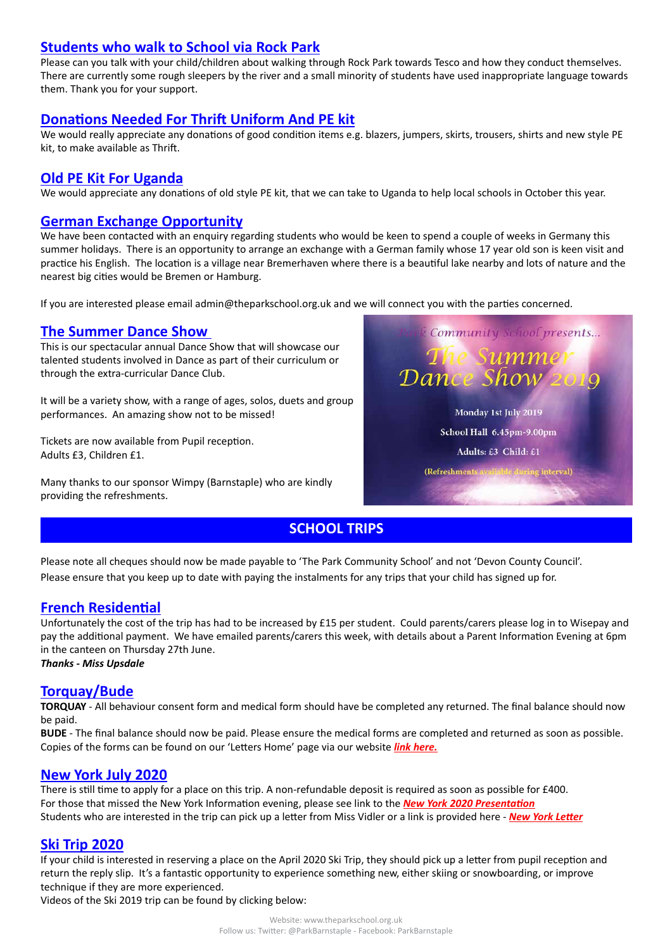## **Students who walk to School via Rock Park**

Please can you talk with your child/children about walking through Rock Park towards Tesco and how they conduct themselves. There are currently some rough sleepers by the river and a small minority of students have used inappropriate language towards them. Thank you for your support.

## **Donations Needed For Thrift Uniform And PE kit**

We would really appreciate any donations of good condition items e.g. blazers, jumpers, skirts, trousers, shirts and new style PE kit, to make available as Thrift.

### **Old PE Kit For Uganda**

We would appreciate any donations of old style PE kit, that we can take to Uganda to help local schools in October this year.

## **German Exchange Opportunity**

We have been contacted with an enquiry regarding students who would be keen to spend a couple of weeks in Germany this summer holidays. There is an opportunity to arrange an exchange with a German family whose 17 year old son is keen visit and practice his English. The location is a village near Bremerhaven where there is a beautiful lake nearby and lots of nature and the nearest big cities would be Bremen or Hamburg.

If you are interested please email admin@theparkschool.org.uk and we will connect you with the parties concerned.

## **The Summer Dance Show**

This is our spectacular annual Dance Show that will showcase our talented students involved in Dance as part of their curriculum or through the extra-curricular Dance Club.

It will be a variety show, with a range of ages, solos, duets and group performances. An amazing show not to be missed!

Tickets are now available from Pupil reception. Adults £3, Children £1.

Many thanks to our sponsor Wimpy (Barnstaple) who are kindly providing the refreshments.



# **SCHOOL TRIPS**

Please note all cheques should now be made payable to 'The Park Community School' and not 'Devon County Council'. Please ensure that you keep up to date with paying the instalments for any trips that your child has signed up for.

## **French Residential**

Unfortunately the cost of the trip has had to be increased by £15 per student. Could parents/carers please log in to Wisepay and pay the additional payment. We have emailed parents/carers this week, with details about a Parent Information Evening at 6pm in the canteen on Thursday 27th June.

*Thanks - Miss Upsdale*

### **Torquay/Bude**

**TORQUAY** - All behaviour consent form and medical form should have be completed any returned. The final balance should now be paid.

**BUDE** - The final balance should now be paid. Please ensure the medical forms are completed and returned as soon as possible. Copies of the forms can be found on our 'Letters Home' page via our website *[link here](http://www.theparkschool.org.uk/letters-home-0).*

### **New York July 2020**

There is still time to apply for a place on this trip. A non-refundable deposit is required as soon as possible for £400. For those that missed the New York Information evening, please see link to the *[New York 2020 Presentation](http://www.theparkschool.org.uk/sites/default/files/NewYorkMeetingPowerPoint-July2020.pdf)* Students who are interested in the trip can pick up a letter from Miss Vidler or a link is provided here - *[New York Letter](http://www.theparkschool.org.uk/sites/default/files/Payment%20Plan%20and%20Itinerary%20letter%202020.pdf)*

### **Ski Trip 2020**

If your child is interested in reserving a place on the April 2020 Ski Trip, they should pick up a letter from pupil reception and return the reply slip. It's a fantastic opportunity to experience something new, either skiing or snowboarding, or improve technique if they are more experienced.

Videos of the Ski 2019 trip can be found by clicking below: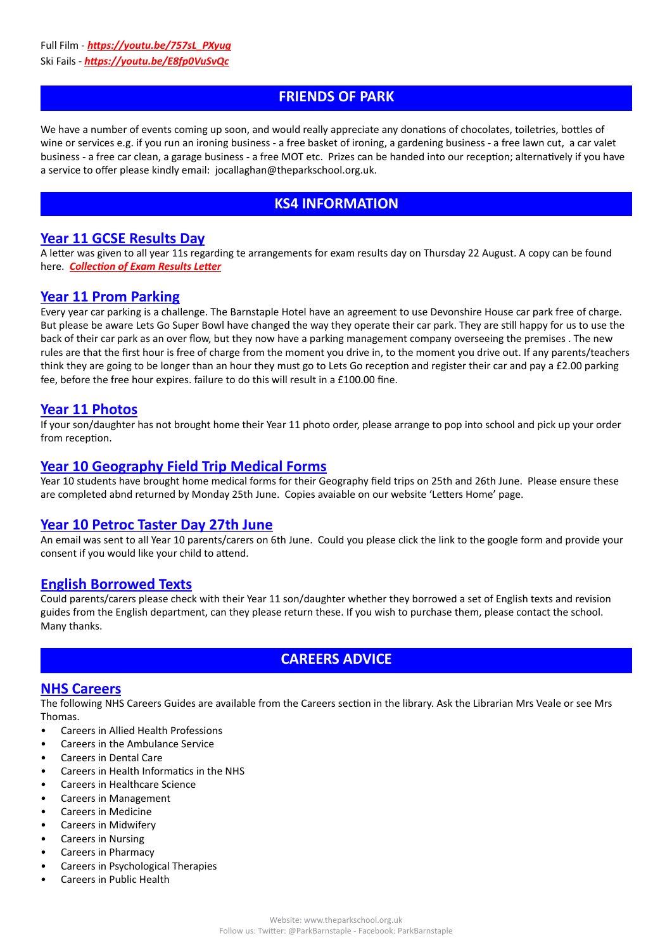## **FRIENDS OF PARK**

We have a number of events coming up soon, and would really appreciate any donations of chocolates, toiletries, bottles of wine or services e.g. if you run an ironing business - a free basket of ironing, a gardening business - a free lawn cut, a car valet business - a free car clean, a garage business - a free MOT etc. Prizes can be handed into our reception; alternatively if you have a service to offer please kindly email: jocallaghan@theparkschool.org.uk.

# **KS4 INFORMATION**

### **Year 11 GCSE Results Day**

A letter was given to all year 11s regarding te arrangements for exam results day on Thursday 22 August. A copy can be found here. *[Collection of Exam Results Letter](http://www.theparkschool.org.uk/sites/default/files/Results%20Collection%20letter%202019.pdf)*

### **Year 11 Prom Parking**

Every year car parking is a challenge. The Barnstaple Hotel have an agreement to use Devonshire House car park free of charge. But please be aware Lets Go Super Bowl have changed the way they operate their car park. They are still happy for us to use the back of their car park as an over flow, but they now have a parking management company overseeing the premises . The new rules are that the first hour is free of charge from the moment you drive in, to the moment you drive out. If any parents/teachers think they are going to be longer than an hour they must go to Lets Go reception and register their car and pay a £2.00 parking fee, before the free hour expires. failure to do this will result in a £100.00 fine.

### **Year 11 Photos**

If your son/daughter has not brought home their Year 11 photo order, please arrange to pop into school and pick up your order from reception.

### **Year 10 Geography Field Trip Medical Forms**

Year 10 students have brought home medical forms for their Geography field trips on 25th and 26th June. Please ensure these are completed abnd returned by Monday 25th June. Copies avaiable on our website 'Letters Home' page.

### **Year 10 Petroc Taster Day 27th June**

An email was sent to all Year 10 parents/carers on 6th June. Could you please click the link to the google form and provide your consent if you would like your child to attend.

### **English Borrowed Texts**

Could parents/carers please check with their Year 11 son/daughter whether they borrowed a set of English texts and revision guides from the English department, can they please return these. If you wish to purchase them, please contact the school. Many thanks.

## **CAREERS ADVICE**

### **NHS Careers**

The following NHS Careers Guides are available from the Careers section in the library. Ask the Librarian Mrs Veale or see Mrs Thomas.

- Careers in Allied Health Professions
- Careers in the Ambulance Service
- Careers in Dental Care
- Careers in Health Informatics in the NHS
- Careers in Healthcare Science
- Careers in Management
- Careers in Medicine
- Careers in Midwifery
- Careers in Nursing
- Careers in Pharmacy
- Careers in Psychological Therapies
- Careers in Public Health